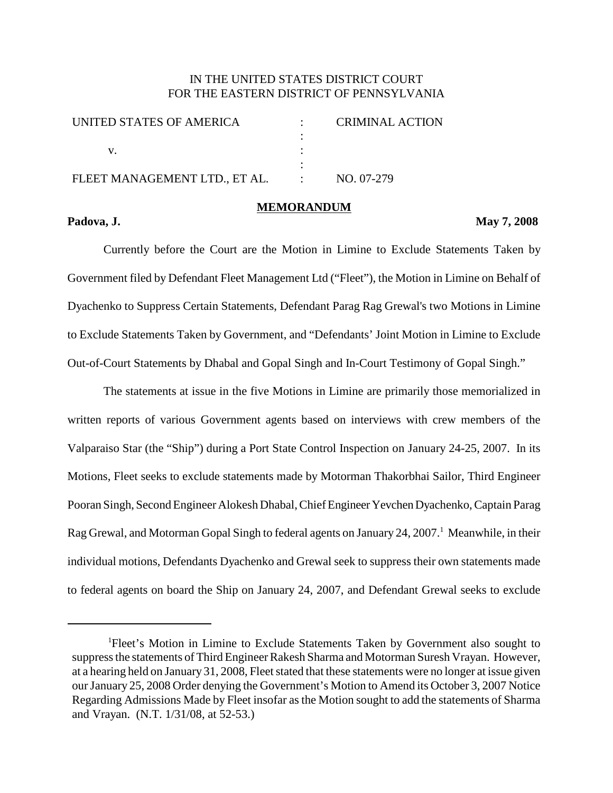# IN THE UNITED STATES DISTRICT COURT FOR THE EASTERN DISTRICT OF PENNSYLVANIA

| UNITED STATES OF AMERICA      |                   | <b>CRIMINAL ACTION</b> |  |
|-------------------------------|-------------------|------------------------|--|
|                               |                   |                        |  |
|                               |                   |                        |  |
|                               |                   |                        |  |
| FLEET MANAGEMENT LTD., ET AL. | $\sim$ 100 $\sim$ | NO. 07-279             |  |
|                               |                   |                        |  |

## **Padova, J. May 7, 2008**

Currently before the Court are the Motion in Limine to Exclude Statements Taken by Government filed by Defendant Fleet Management Ltd ("Fleet"), the Motion in Limine on Behalf of Dyachenko to Suppress Certain Statements, Defendant Parag Rag Grewal's two Motions in Limine to Exclude Statements Taken by Government, and "Defendants' Joint Motion in Limine to Exclude Out-of-Court Statements by Dhabal and Gopal Singh and In-Court Testimony of Gopal Singh."

**MEMORANDUM**

The statements at issue in the five Motions in Limine are primarily those memorialized in written reports of various Government agents based on interviews with crew members of the Valparaiso Star (the "Ship") during a Port State Control Inspection on January 24-25, 2007. In its Motions, Fleet seeks to exclude statements made by Motorman Thakorbhai Sailor, Third Engineer Pooran Singh, Second Engineer Alokesh Dhabal, Chief Engineer Yevchen Dyachenko, Captain Parag Rag Grewal, and Motorman Gopal Singh to federal agents on January 24, 2007.<sup>1</sup> Meanwhile, in their individual motions, Defendants Dyachenko and Grewal seek to suppress their own statements made to federal agents on board the Ship on January 24, 2007, and Defendant Grewal seeks to exclude

<sup>&</sup>lt;sup>1</sup>Fleet's Motion in Limine to Exclude Statements Taken by Government also sought to suppress the statements of Third Engineer Rakesh Sharma and Motorman Suresh Vrayan. However, at a hearing held on January 31, 2008, Fleet stated that these statements were no longer at issue given our January 25, 2008 Order denying the Government's Motion to Amend its October 3, 2007 Notice Regarding Admissions Made by Fleet insofar as the Motion sought to add the statements of Sharma and Vrayan. (N.T. 1/31/08, at 52-53.)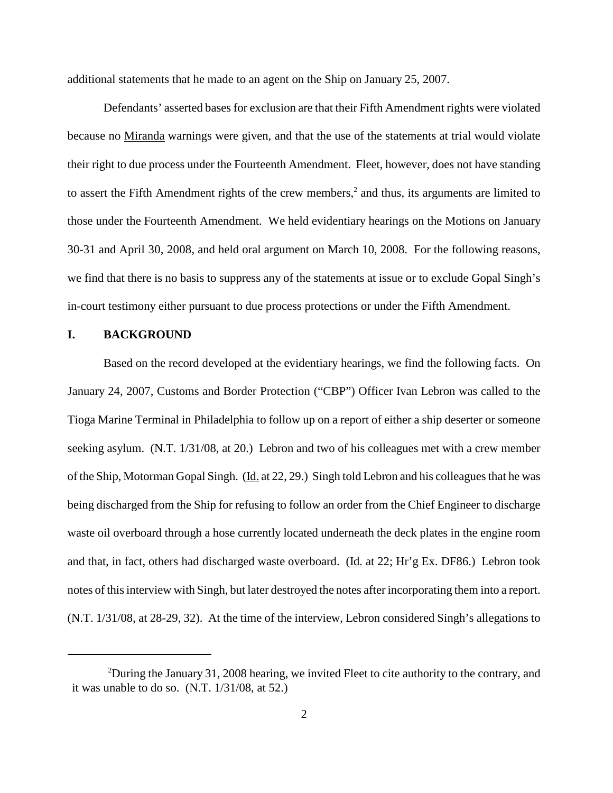additional statements that he made to an agent on the Ship on January 25, 2007.

Defendants' asserted bases for exclusion are that their Fifth Amendment rights were violated because no Miranda warnings were given, and that the use of the statements at trial would violate their right to due process under the Fourteenth Amendment. Fleet, however, does not have standing to assert the Fifth Amendment rights of the crew members, <sup>2</sup> and thus, its arguments are limited to those under the Fourteenth Amendment. We held evidentiary hearings on the Motions on January 30-31 and April 30, 2008, and held oral argument on March 10, 2008. For the following reasons, we find that there is no basis to suppress any of the statements at issue or to exclude Gopal Singh's in-court testimony either pursuant to due process protections or under the Fifth Amendment.

#### **I. BACKGROUND**

Based on the record developed at the evidentiary hearings, we find the following facts. On January 24, 2007, Customs and Border Protection ("CBP") Officer Ivan Lebron was called to the Tioga Marine Terminal in Philadelphia to follow up on a report of either a ship deserter or someone seeking asylum. (N.T. 1/31/08, at 20.) Lebron and two of his colleagues met with a crew member of the Ship, Motorman Gopal Singh. (Id. at 22, 29.) Singh told Lebron and his colleagues that he was being discharged from the Ship for refusing to follow an order from the Chief Engineer to discharge waste oil overboard through a hose currently located underneath the deck plates in the engine room and that, in fact, others had discharged waste overboard. (Id. at 22; Hr'g Ex. DF86.) Lebron took notes of thisinterview with Singh, but later destroyed the notes after incorporating them into a report. (N.T. 1/31/08, at 28-29, 32). At the time of the interview, Lebron considered Singh's allegations to

<sup>&</sup>lt;sup>2</sup>During the January 31, 2008 hearing, we invited Fleet to cite authority to the contrary, and it was unable to do so. (N.T. 1/31/08, at 52.)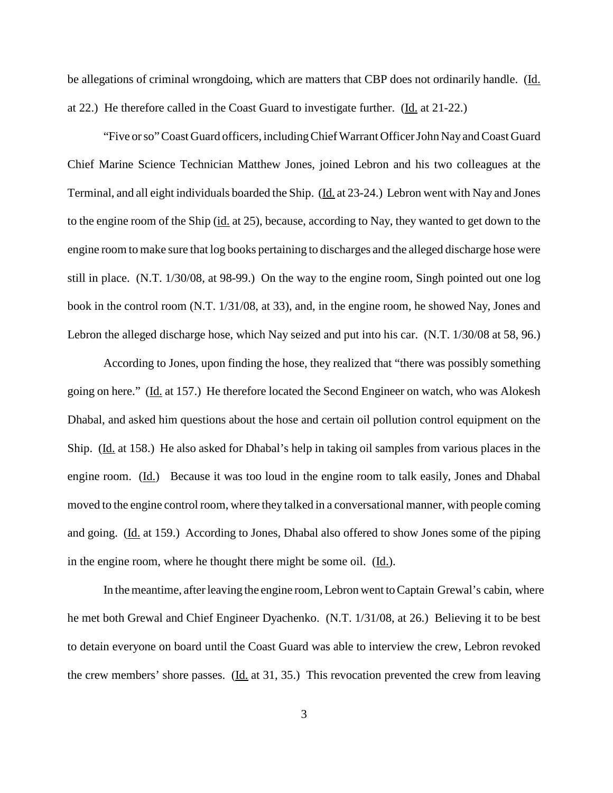be allegations of criminal wrongdoing, which are matters that CBP does not ordinarily handle. (Id. at 22.) He therefore called in the Coast Guard to investigate further. (Id. at 21-22.)

"Five orso"Coast Guard officers, includingChiefWarrant OfficerJohn NayandCoast Guard Chief Marine Science Technician Matthew Jones, joined Lebron and his two colleagues at the Terminal, and all eight individuals boarded the Ship. (Id. at 23-24.) Lebron went with Nay and Jones to the engine room of the Ship (id. at 25), because, according to Nay, they wanted to get down to the engine room to make sure that log books pertaining to discharges and the alleged discharge hose were still in place. (N.T. 1/30/08, at 98-99.) On the way to the engine room, Singh pointed out one log book in the control room (N.T. 1/31/08, at 33), and, in the engine room, he showed Nay, Jones and Lebron the alleged discharge hose, which Nay seized and put into his car. (N.T. 1/30/08 at 58, 96.)

According to Jones, upon finding the hose, they realized that "there was possibly something going on here." (Id. at 157.) He therefore located the Second Engineer on watch, who was Alokesh Dhabal, and asked him questions about the hose and certain oil pollution control equipment on the Ship. (Id. at 158.) He also asked for Dhabal's help in taking oil samples from various places in the engine room. (Id.) Because it was too loud in the engine room to talk easily, Jones and Dhabal moved to the engine control room, where they talked in a conversational manner, with people coming and going. (Id. at 159.) According to Jones, Dhabal also offered to show Jones some of the piping in the engine room, where he thought there might be some oil. (Id.).

In the meantime, after leaving the engine room, Lebron went to Captain Grewal's cabin, where he met both Grewal and Chief Engineer Dyachenko. (N.T. 1/31/08, at 26.) Believing it to be best to detain everyone on board until the Coast Guard was able to interview the crew, Lebron revoked the crew members' shore passes. (Id. at 31, 35.) This revocation prevented the crew from leaving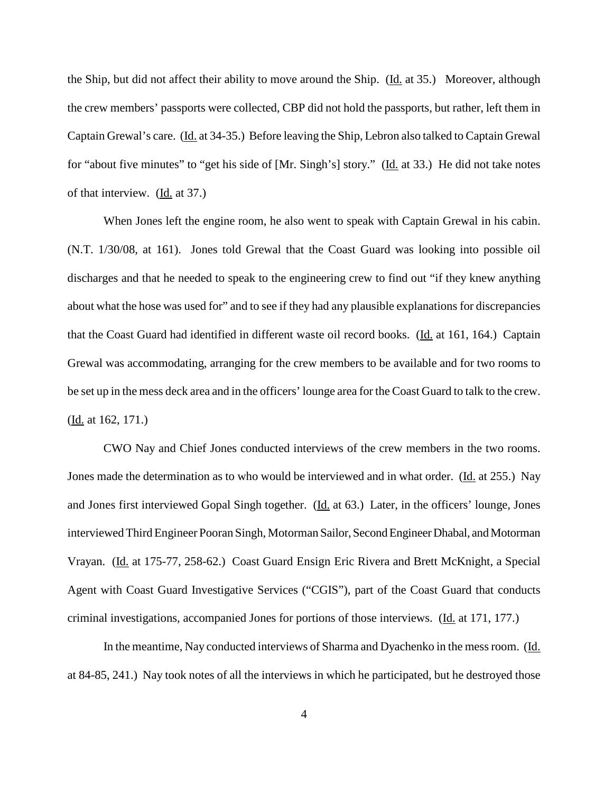the Ship, but did not affect their ability to move around the Ship. (Id. at 35.) Moreover, although the crew members' passports were collected, CBP did not hold the passports, but rather, left them in Captain Grewal's care. (Id. at 34-35.) Before leaving the Ship, Lebron also talked to Captain Grewal for "about five minutes" to "get his side of [Mr. Singh's] story." (Id. at 33.) He did not take notes of that interview. (Id. at 37.)

When Jones left the engine room, he also went to speak with Captain Grewal in his cabin. (N.T. 1/30/08, at 161). Jones told Grewal that the Coast Guard was looking into possible oil discharges and that he needed to speak to the engineering crew to find out "if they knew anything about what the hose was used for" and to see if they had any plausible explanations for discrepancies that the Coast Guard had identified in different waste oil record books. (Id. at 161, 164.) Captain Grewal was accommodating, arranging for the crew members to be available and for two rooms to be set up in the mess deck area and in the officers' lounge area for the Coast Guard to talk to the crew. (Id. at 162, 171.)

CWO Nay and Chief Jones conducted interviews of the crew members in the two rooms. Jones made the determination as to who would be interviewed and in what order. (Id. at 255.) Nay and Jones first interviewed Gopal Singh together. (Id. at 63.) Later, in the officers' lounge, Jones interviewed Third Engineer Pooran Singh, Motorman Sailor, Second Engineer Dhabal, and Motorman Vrayan. (Id. at 175-77, 258-62.) Coast Guard Ensign Eric Rivera and Brett McKnight, a Special Agent with Coast Guard Investigative Services ("CGIS"), part of the Coast Guard that conducts criminal investigations, accompanied Jones for portions of those interviews. (Id. at 171, 177.)

In the meantime, Nay conducted interviews of Sharma and Dyachenko in the mess room. (Id. at 84-85, 241.) Nay took notes of all the interviews in which he participated, but he destroyed those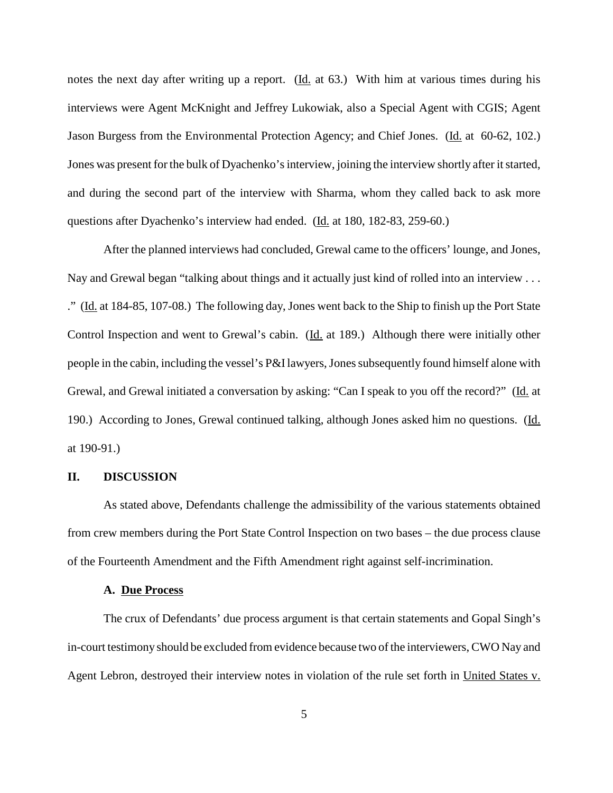notes the next day after writing up a report. (Id. at 63.) With him at various times during his interviews were Agent McKnight and Jeffrey Lukowiak, also a Special Agent with CGIS; Agent Jason Burgess from the Environmental Protection Agency; and Chief Jones. (Id. at 60-62, 102.) Jones was present for the bulk of Dyachenko's interview, joining the interview shortly after it started, and during the second part of the interview with Sharma, whom they called back to ask more questions after Dyachenko's interview had ended. (Id. at 180, 182-83, 259-60.)

After the planned interviews had concluded, Grewal came to the officers' lounge, and Jones, Nay and Grewal began "talking about things and it actually just kind of rolled into an interview . . . ." (Id. at 184-85, 107-08.) The following day, Jones went back to the Ship to finish up the Port State Control Inspection and went to Grewal's cabin. (Id. at 189.) Although there were initially other people in the cabin, including the vessel's P&I lawyers, Jones subsequently found himself alone with Grewal, and Grewal initiated a conversation by asking: "Can I speak to you off the record?" (Id. at 190.) According to Jones, Grewal continued talking, although Jones asked him no questions. (Id. at 190-91.)

## **II. DISCUSSION**

As stated above, Defendants challenge the admissibility of the various statements obtained from crew members during the Port State Control Inspection on two bases – the due process clause of the Fourteenth Amendment and the Fifth Amendment right against self-incrimination.

## **A. Due Process**

The crux of Defendants' due process argument is that certain statements and Gopal Singh's in-court testimony should be excluded from evidence because two of the interviewers, CWO Nay and Agent Lebron, destroyed their interview notes in violation of the rule set forth in United States v.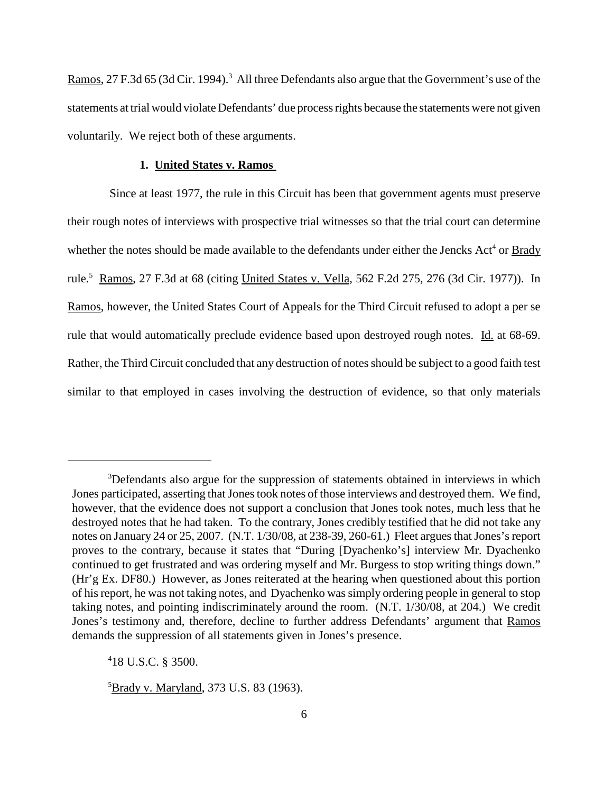Ramos, 27 F.3d 65 (3d Cir. 1994).<sup>3</sup> All three Defendants also argue that the Government's use of the statements at trial would violate Defendants' due processrights because the statements were not given voluntarily. We reject both of these arguments.

# **1. United States v. Ramos**

Since at least 1977, the rule in this Circuit has been that government agents must preserve their rough notes of interviews with prospective trial witnesses so that the trial court can determine whether the notes should be made available to the defendants under either the Jencks Act<sup>4</sup> or **Brady** rule.<sup>5</sup> Ramos, 27 F.3d at 68 (citing United States v. Vella, 562 F.2d 275, 276 (3d Cir. 1977)). In Ramos, however, the United States Court of Appeals for the Third Circuit refused to adopt a per se rule that would automatically preclude evidence based upon destroyed rough notes. Id. at 68-69. Rather, the Third Circuit concluded that any destruction of notes should be subject to a good faith test similar to that employed in cases involving the destruction of evidence, so that only materials

4 18 U.S.C. § 3500.

<sup>&</sup>lt;sup>3</sup>Defendants also argue for the suppression of statements obtained in interviews in which Jones participated, asserting that Jones took notes of those interviews and destroyed them. We find, however, that the evidence does not support a conclusion that Jones took notes, much less that he destroyed notes that he had taken. To the contrary, Jones credibly testified that he did not take any notes on January 24 or 25, 2007. (N.T. 1/30/08, at 238-39, 260-61.) Fleet argues that Jones's report proves to the contrary, because it states that "During [Dyachenko's] interview Mr. Dyachenko continued to get frustrated and was ordering myself and Mr. Burgess to stop writing things down." (Hr'g Ex. DF80.) However, as Jones reiterated at the hearing when questioned about this portion of his report, he was not taking notes, and Dyachenko was simply ordering people in general to stop taking notes, and pointing indiscriminately around the room. (N.T. 1/30/08, at 204.) We credit Jones's testimony and, therefore, decline to further address Defendants' argument that Ramos demands the suppression of all statements given in Jones's presence.

<sup>&</sup>lt;sup>5</sup>Brady v. Maryland, 373 U.S. 83 (1963).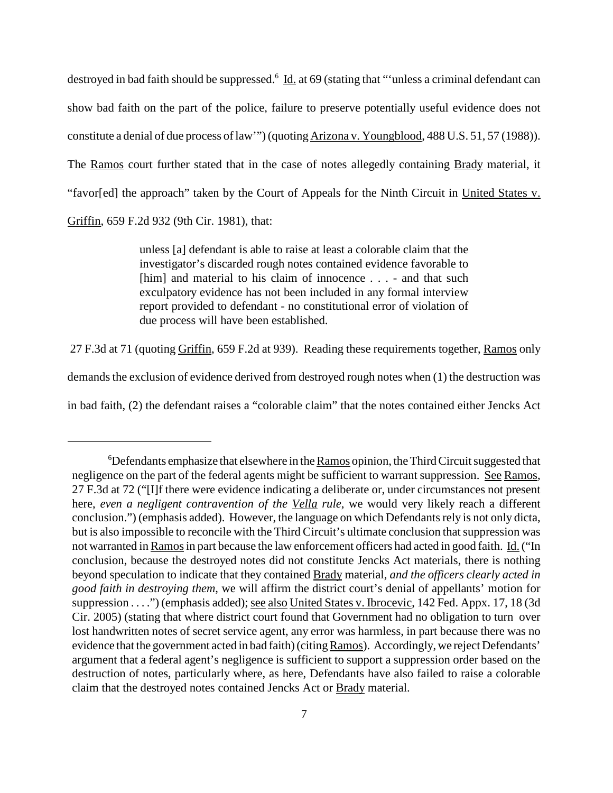destroyed in bad faith should be suppressed.<sup>6</sup> Id. at 69 (stating that "'unless a criminal defendant can show bad faith on the part of the police, failure to preserve potentially useful evidence does not constitute a denial of due process of law'") (quoting Arizona v. Youngblood, 488 U.S. 51, 57 (1988)). The Ramos court further stated that in the case of notes allegedly containing Brady material, it "favor[ed] the approach" taken by the Court of Appeals for the Ninth Circuit in United States v. Griffin, 659 F.2d 932 (9th Cir. 1981), that:

> unless [a] defendant is able to raise at least a colorable claim that the investigator's discarded rough notes contained evidence favorable to [him] and material to his claim of innocence . . . - and that such exculpatory evidence has not been included in any formal interview report provided to defendant - no constitutional error of violation of due process will have been established.

27 F.3d at 71 (quoting Griffin, 659 F.2d at 939). Reading these requirements together, Ramos only

demands the exclusion of evidence derived from destroyed rough notes when (1) the destruction was

in bad faith, (2) the defendant raises a "colorable claim" that the notes contained either Jencks Act

<sup>&</sup>lt;sup>6</sup>Defendants emphasize that elsewhere in the **Ramos** opinion, the Third Circuit suggested that negligence on the part of the federal agents might be sufficient to warrant suppression. See Ramos, 27 F.3d at 72 ("[I]f there were evidence indicating a deliberate or, under circumstances not present here, *even a negligent contravention of the Vella rule*, we would very likely reach a different conclusion.") (emphasis added). However, the language on which Defendants rely is not only dicta, but is also impossible to reconcile with the Third Circuit's ultimate conclusion that suppression was not warranted in Ramos in part because the law enforcement officers had acted in good faith. Id. ("In conclusion, because the destroyed notes did not constitute Jencks Act materials, there is nothing beyond speculation to indicate that they contained Brady material, *and the officers clearly acted in good faith in destroying them*, we will affirm the district court's denial of appellants' motion for suppression . . . .") (emphasis added); <u>see also United States v. Ibrocevic</u>, 142 Fed. Appx. 17, 18 (3d Cir. 2005) (stating that where district court found that Government had no obligation to turn over lost handwritten notes of secret service agent, any error was harmless, in part because there was no evidence that the government acted in bad faith)(citingRamos). Accordingly, we reject Defendants' argument that a federal agent's negligence is sufficient to support a suppression order based on the destruction of notes, particularly where, as here, Defendants have also failed to raise a colorable claim that the destroyed notes contained Jencks Act or Brady material.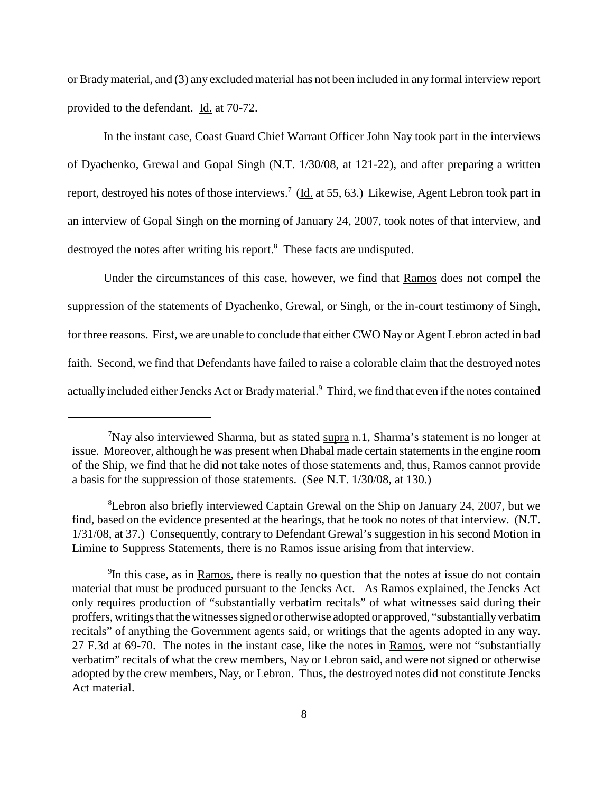or Brady material, and (3) any excluded material has not been included in any formal interview report provided to the defendant. Id. at 70-72.

In the instant case, Coast Guard Chief Warrant Officer John Nay took part in the interviews of Dyachenko, Grewal and Gopal Singh (N.T. 1/30/08, at 121-22), and after preparing a written report, destroyed his notes of those interviews.<sup>7</sup> (Id. at 55, 63.) Likewise, Agent Lebron took part in an interview of Gopal Singh on the morning of January 24, 2007, took notes of that interview, and destroyed the notes after writing his report.<sup>8</sup> These facts are undisputed.

Under the circumstances of this case, however, we find that Ramos does not compel the suppression of the statements of Dyachenko, Grewal, or Singh, or the in-court testimony of Singh, for three reasons. First, we are unable to conclude that either CWO Nay or Agent Lebron acted in bad faith. Second, we find that Defendants have failed to raise a colorable claim that the destroyed notes actually included either Jencks Act or **Brady** material.<sup>9</sup> Third, we find that even if the notes contained

<sup>&</sup>lt;sup>7</sup>Nay also interviewed Sharma, but as stated supra n.1, Sharma's statement is no longer at issue. Moreover, although he was present when Dhabal made certain statements in the engine room of the Ship, we find that he did not take notes of those statements and, thus, Ramos cannot provide a basis for the suppression of those statements. (See N.T. 1/30/08, at 130.)

<sup>8</sup> Lebron also briefly interviewed Captain Grewal on the Ship on January 24, 2007, but we find, based on the evidence presented at the hearings, that he took no notes of that interview. (N.T. 1/31/08, at 37.) Consequently, contrary to Defendant Grewal's suggestion in his second Motion in Limine to Suppress Statements, there is no Ramos issue arising from that interview.

<sup>&</sup>lt;sup>9</sup>In this case, as in Ramos, there is really no question that the notes at issue do not contain material that must be produced pursuant to the Jencks Act. As Ramos explained, the Jencks Act only requires production of "substantially verbatim recitals" of what witnesses said during their proffers, writings that the witnesses signed or otherwise adopted or approved, "substantially verbatim" recitals" of anything the Government agents said, or writings that the agents adopted in any way. 27 F.3d at 69-70. The notes in the instant case, like the notes in Ramos, were not "substantially verbatim" recitals of what the crew members, Nay or Lebron said, and were notsigned or otherwise adopted by the crew members, Nay, or Lebron. Thus, the destroyed notes did not constitute Jencks Act material.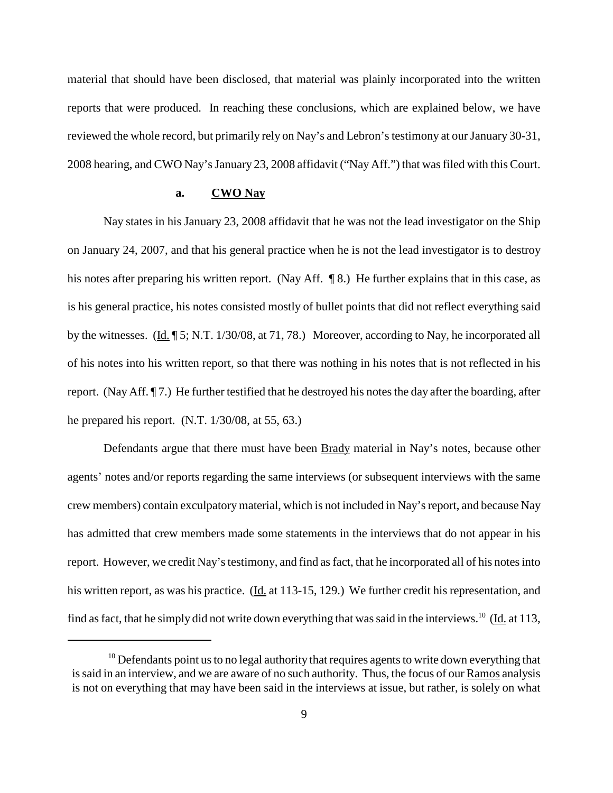material that should have been disclosed, that material was plainly incorporated into the written reports that were produced. In reaching these conclusions, which are explained below, we have reviewed the whole record, but primarily rely on Nay's and Lebron's testimony at our January 30-31, 2008 hearing, and CWO Nay's January 23, 2008 affidavit ("Nay Aff.") that was filed with this Court.

# **a. CWO Nay**

Nay states in his January 23, 2008 affidavit that he was not the lead investigator on the Ship on January 24, 2007, and that his general practice when he is not the lead investigator is to destroy his notes after preparing his written report. (Nay Aff. ¶ 8.) He further explains that in this case, as is his general practice, his notes consisted mostly of bullet points that did not reflect everything said by the witnesses. (Id. 15; N.T. 1/30/08, at 71, 78.) Moreover, according to Nay, he incorporated all of his notes into his written report, so that there was nothing in his notes that is not reflected in his report. (Nay Aff. 17.) He further testified that he destroyed his notes the day after the boarding, after he prepared his report. (N.T. 1/30/08, at 55, 63.)

Defendants argue that there must have been Brady material in Nay's notes, because other agents' notes and/or reports regarding the same interviews (or subsequent interviews with the same crew members) contain exculpatorymaterial, which is not included in Nay'sreport, and because Nay has admitted that crew members made some statements in the interviews that do not appear in his report. However, we credit Nay's testimony, and find as fact, that he incorporated all of his notes into his written report, as was his practice. (Id. at 113-15, 129.) We further credit his representation, and find as fact, that he simply did not write down everything that was said in the interviews.<sup>10</sup> ( $\underline{Id}$  at 113,

 $10$  Defendants point us to no legal authority that requires agents to write down everything that issaid in an interview, and we are aware of no such authority. Thus, the focus of our Ramos analysis is not on everything that may have been said in the interviews at issue, but rather, is solely on what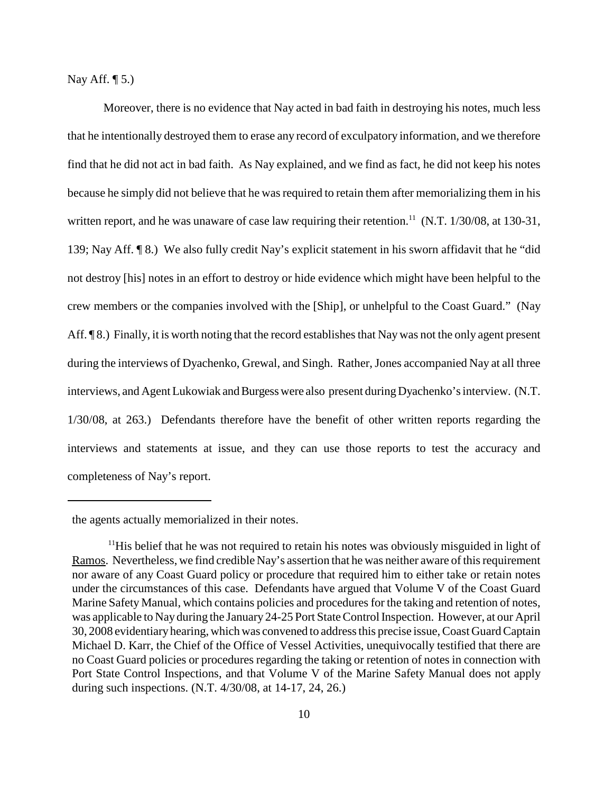Nay Aff.  $\P$  5.)

Moreover, there is no evidence that Nay acted in bad faith in destroying his notes, much less that he intentionally destroyed them to erase any record of exculpatory information, and we therefore find that he did not act in bad faith. As Nay explained, and we find as fact, he did not keep his notes because he simply did not believe that he was required to retain them after memorializing them in his written report, and he was unaware of case law requiring their retention.<sup>11</sup> (N.T.  $1/30/08$ , at 130-31, 139; Nay Aff. ¶ 8.) We also fully credit Nay's explicit statement in his sworn affidavit that he "did not destroy [his] notes in an effort to destroy or hide evidence which might have been helpful to the crew members or the companies involved with the [Ship], or unhelpful to the Coast Guard." (Nay Aff.  $\P$ 8.) Finally, it is worth noting that the record establishes that Nay was not the only agent present during the interviews of Dyachenko, Grewal, and Singh. Rather, Jones accompanied Nay at all three interviews, and Agent Lukowiak and Burgess were also present during Dyachenko's interview. (N.T. 1/30/08, at 263.) Defendants therefore have the benefit of other written reports regarding the interviews and statements at issue, and they can use those reports to test the accuracy and completeness of Nay's report.

the agents actually memorialized in their notes.

<sup>&</sup>lt;sup>11</sup>His belief that he was not required to retain his notes was obviously misguided in light of Ramos. Nevertheless, we find credible Nay's assertion that he was neither aware of this requirement nor aware of any Coast Guard policy or procedure that required him to either take or retain notes under the circumstances of this case. Defendants have argued that Volume V of the Coast Guard Marine Safety Manual, which contains policies and procedures for the taking and retention of notes, was applicable to Nay during the January 24-25 Port State Control Inspection. However, at our April 30, 2008 evidentiaryhearing, which was convened to addressthis precise issue,Coast GuardCaptain Michael D. Karr, the Chief of the Office of Vessel Activities, unequivocally testified that there are no Coast Guard policies or procedures regarding the taking or retention of notes in connection with Port State Control Inspections, and that Volume V of the Marine Safety Manual does not apply during such inspections. (N.T. 4/30/08, at 14-17, 24, 26.)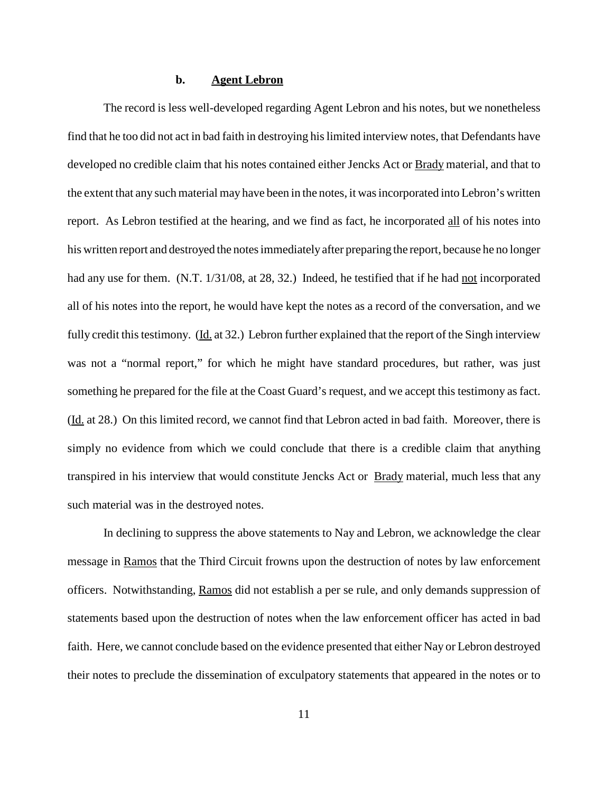# **b. Agent Lebron**

The record is less well-developed regarding Agent Lebron and his notes, but we nonetheless find that he too did not act in bad faith in destroying hislimited interview notes, that Defendants have developed no credible claim that his notes contained either Jencks Act or **Brady** material, and that to the extent that any such material may have been in the notes, it wasincorporated into Lebron's written report. As Lebron testified at the hearing, and we find as fact, he incorporated all of his notes into his written report and destroyed the notesimmediatelyafter preparing the report, because he no longer had any use for them. (N.T. 1/31/08, at 28, 32.) Indeed, he testified that if he had not incorporated all of his notes into the report, he would have kept the notes as a record of the conversation, and we fully credit this testimony. (Id. at 32.) Lebron further explained that the report of the Singh interview was not a "normal report," for which he might have standard procedures, but rather, was just something he prepared for the file at the Coast Guard's request, and we accept this testimony as fact. (Id. at 28.) On this limited record, we cannot find that Lebron acted in bad faith. Moreover, there is simply no evidence from which we could conclude that there is a credible claim that anything transpired in his interview that would constitute Jencks Act or **Brady** material, much less that any such material was in the destroyed notes.

In declining to suppress the above statements to Nay and Lebron, we acknowledge the clear message in Ramos that the Third Circuit frowns upon the destruction of notes by law enforcement officers. Notwithstanding, Ramos did not establish a per se rule, and only demands suppression of statements based upon the destruction of notes when the law enforcement officer has acted in bad faith. Here, we cannot conclude based on the evidence presented that either Nay or Lebron destroyed their notes to preclude the dissemination of exculpatory statements that appeared in the notes or to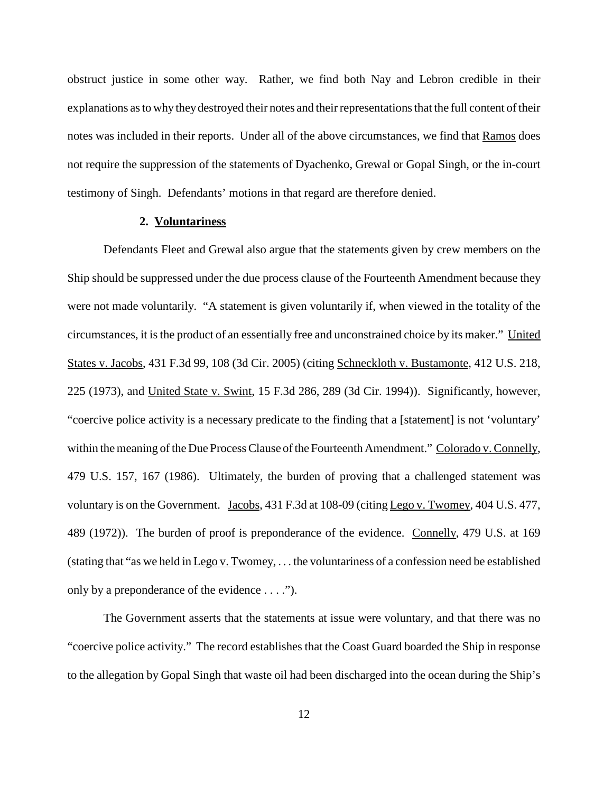obstruct justice in some other way. Rather, we find both Nay and Lebron credible in their explanations as to why they destroyed their notes and their representations that the full content of their notes was included in their reports. Under all of the above circumstances, we find that Ramos does not require the suppression of the statements of Dyachenko, Grewal or Gopal Singh, or the in-court testimony of Singh. Defendants' motions in that regard are therefore denied.

## **2. Voluntariness**

Defendants Fleet and Grewal also argue that the statements given by crew members on the Ship should be suppressed under the due process clause of the Fourteenth Amendment because they were not made voluntarily. "A statement is given voluntarily if, when viewed in the totality of the circumstances, it is the product of an essentially free and unconstrained choice by its maker." United States v. Jacobs, 431 F.3d 99, 108 (3d Cir. 2005) (citing Schneckloth v. Bustamonte, 412 U.S. 218, 225 (1973), and United State v. Swint, 15 F.3d 286, 289 (3d Cir. 1994)). Significantly, however, "coercive police activity is a necessary predicate to the finding that a [statement] is not 'voluntary' within the meaning of the Due Process Clause of the Fourteenth Amendment." Colorado v. Connelly, 479 U.S. 157, 167 (1986). Ultimately, the burden of proving that a challenged statement was voluntary is on the Government. Jacobs, 431 F.3d at 108-09 (citing Lego v. Twomey, 404 U.S. 477, 489 (1972)). The burden of proof is preponderance of the evidence. Connelly, 479 U.S. at 169 (stating that "as we held in  $Lego v. Twomey, ...$ </u> the voluntariness of a confession need be established only by a preponderance of the evidence . . . .").

The Government asserts that the statements at issue were voluntary, and that there was no "coercive police activity." The record establishes that the Coast Guard boarded the Ship in response to the allegation by Gopal Singh that waste oil had been discharged into the ocean during the Ship's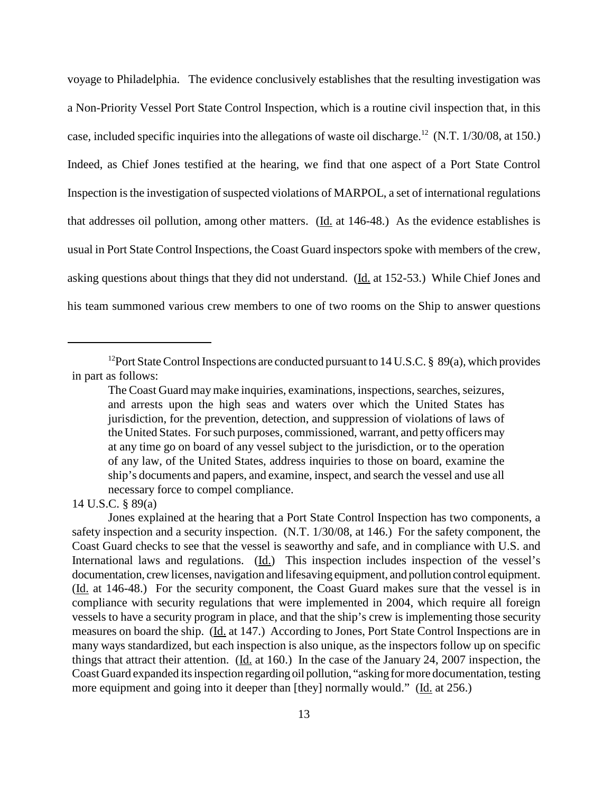voyage to Philadelphia. The evidence conclusively establishes that the resulting investigation was a Non-Priority Vessel Port State Control Inspection, which is a routine civil inspection that, in this case, included specific inquiries into the allegations of waste oil discharge.<sup>12</sup> (N.T. 1/30/08, at 150.) Indeed, as Chief Jones testified at the hearing, we find that one aspect of a Port State Control Inspection is the investigation of suspected violations of MARPOL, a set of international regulations that addresses oil pollution, among other matters. (Id. at 146-48.) As the evidence establishes is usual in Port State Control Inspections, the Coast Guard inspectors spoke with members of the crew, asking questions about things that they did not understand. (Id. at 152-53.) While Chief Jones and his team summoned various crew members to one of two rooms on the Ship to answer questions

<sup>&</sup>lt;sup>12</sup> Port State Control Inspections are conducted pursuant to 14 U.S.C. § 89(a), which provides in part as follows:

The Coast Guard may make inquiries, examinations, inspections, searches, seizures, and arrests upon the high seas and waters over which the United States has jurisdiction, for the prevention, detection, and suppression of violations of laws of the United States. For such purposes, commissioned, warrant, and petty officers may at any time go on board of any vessel subject to the jurisdiction, or to the operation of any law, of the United States, address inquiries to those on board, examine the ship's documents and papers, and examine, inspect, and search the vessel and use all necessary force to compel compliance.

<sup>14</sup> U.S.C. § 89(a)

Jones explained at the hearing that a Port State Control Inspection has two components, a safety inspection and a security inspection. (N.T. 1/30/08, at 146.) For the safety component, the Coast Guard checks to see that the vessel is seaworthy and safe, and in compliance with U.S. and International laws and regulations. (Id.) This inspection includes inspection of the vessel's documentation, crew licenses, navigation and lifesaving equipment, and pollution control equipment. (Id. at 146-48.) For the security component, the Coast Guard makes sure that the vessel is in compliance with security regulations that were implemented in 2004, which require all foreign vessels to have a security program in place, and that the ship's crew is implementing those security measures on board the ship. (Id. at 147.) According to Jones, Port State Control Inspections are in many ways standardized, but each inspection is also unique, as the inspectors follow up on specific things that attract their attention. (Id. at 160.) In the case of the January 24, 2007 inspection, the Coast Guard expanded itsinspection regarding oil pollution, "asking formore documentation, testing more equipment and going into it deeper than [they] normally would." (Id. at 256.)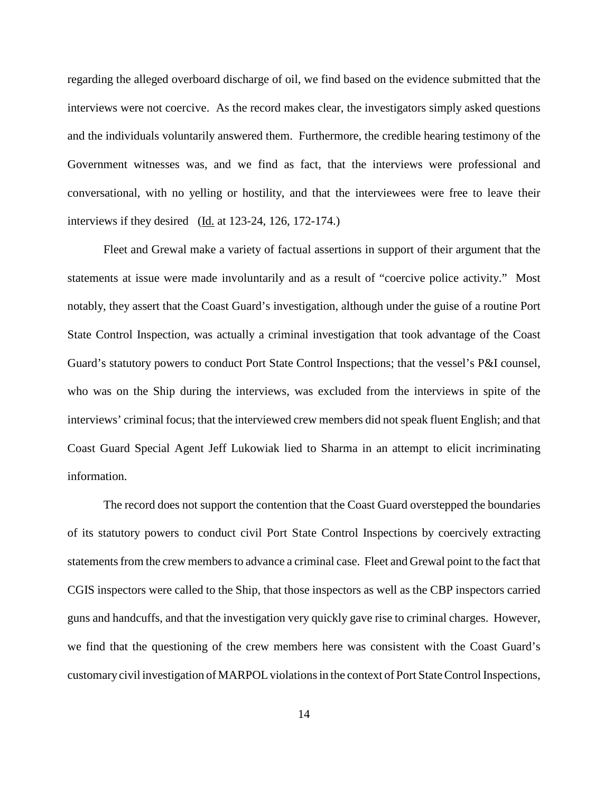regarding the alleged overboard discharge of oil, we find based on the evidence submitted that the interviews were not coercive. As the record makes clear, the investigators simply asked questions and the individuals voluntarily answered them. Furthermore, the credible hearing testimony of the Government witnesses was, and we find as fact, that the interviews were professional and conversational, with no yelling or hostility, and that the interviewees were free to leave their interviews if they desired (Id. at 123-24, 126, 172-174.)

Fleet and Grewal make a variety of factual assertions in support of their argument that the statements at issue were made involuntarily and as a result of "coercive police activity." Most notably, they assert that the Coast Guard's investigation, although under the guise of a routine Port State Control Inspection, was actually a criminal investigation that took advantage of the Coast Guard's statutory powers to conduct Port State Control Inspections; that the vessel's P&I counsel, who was on the Ship during the interviews, was excluded from the interviews in spite of the interviews' criminal focus; that the interviewed crew members did not speak fluent English; and that Coast Guard Special Agent Jeff Lukowiak lied to Sharma in an attempt to elicit incriminating information.

The record does not support the contention that the Coast Guard overstepped the boundaries of its statutory powers to conduct civil Port State Control Inspections by coercively extracting statements from the crew members to advance a criminal case. Fleet and Grewal point to the fact that CGIS inspectors were called to the Ship, that those inspectors as well as the CBP inspectors carried guns and handcuffs, and that the investigation very quickly gave rise to criminal charges. However, we find that the questioning of the crew members here was consistent with the Coast Guard's customary civil investigation of MARPOL violations in the context of Port State Control Inspections,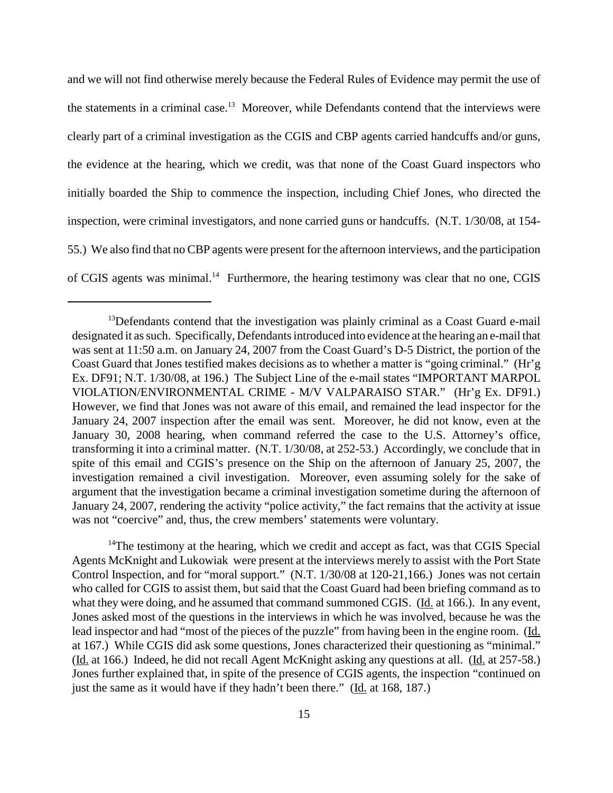and we will not find otherwise merely because the Federal Rules of Evidence may permit the use of the statements in a criminal case.<sup>13</sup> Moreover, while Defendants contend that the interviews were clearly part of a criminal investigation as the CGIS and CBP agents carried handcuffs and/or guns, the evidence at the hearing, which we credit, was that none of the Coast Guard inspectors who initially boarded the Ship to commence the inspection, including Chief Jones, who directed the inspection, were criminal investigators, and none carried guns or handcuffs. (N.T. 1/30/08, at 154- 55.) We also find that no CBP agents were present for the afternoon interviews, and the participation of CGIS agents was minimal.<sup>14</sup> Furthermore, the hearing testimony was clear that no one, CGIS

<sup>14</sup>The testimony at the hearing, which we credit and accept as fact, was that CGIS Special Agents McKnight and Lukowiak were present at the interviews merely to assist with the Port State Control Inspection, and for "moral support." (N.T. 1/30/08 at 120-21,166.) Jones was not certain who called for CGIS to assist them, but said that the Coast Guard had been briefing command as to what they were doing, and he assumed that command summoned CGIS. (Id. at 166.). In any event, Jones asked most of the questions in the interviews in which he was involved, because he was the lead inspector and had "most of the pieces of the puzzle" from having been in the engine room. (Id. at 167.) While CGIS did ask some questions, Jones characterized their questioning as "minimal." (Id. at 166.) Indeed, he did not recall Agent McKnight asking any questions at all. (Id. at 257-58.) Jones further explained that, in spite of the presence of CGIS agents, the inspection "continued on just the same as it would have if they hadn't been there." (Id. at 168, 187.)

<sup>&</sup>lt;sup>13</sup>Defendants contend that the investigation was plainly criminal as a Coast Guard e-mail designated it as such. Specifically, Defendants introduced into evidence at the hearing an e-mail that was sent at 11:50 a.m. on January 24, 2007 from the Coast Guard's D-5 District, the portion of the Coast Guard that Jones testified makes decisions as to whether a matter is "going criminal." (Hr'g Ex. DF91; N.T. 1/30/08, at 196.) The Subject Line of the e-mail states "IMPORTANT MARPOL VIOLATION/ENVIRONMENTAL CRIME - M/V VALPARAISO STAR." (Hr'g Ex. DF91.) However, we find that Jones was not aware of this email, and remained the lead inspector for the January 24, 2007 inspection after the email was sent. Moreover, he did not know, even at the January 30, 2008 hearing, when command referred the case to the U.S. Attorney's office, transforming it into a criminal matter. (N.T. 1/30/08, at 252-53.) Accordingly, we conclude that in spite of this email and CGIS's presence on the Ship on the afternoon of January 25, 2007, the investigation remained a civil investigation. Moreover, even assuming solely for the sake of argument that the investigation became a criminal investigation sometime during the afternoon of January 24, 2007, rendering the activity "police activity," the fact remains that the activity at issue was not "coercive" and, thus, the crew members' statements were voluntary.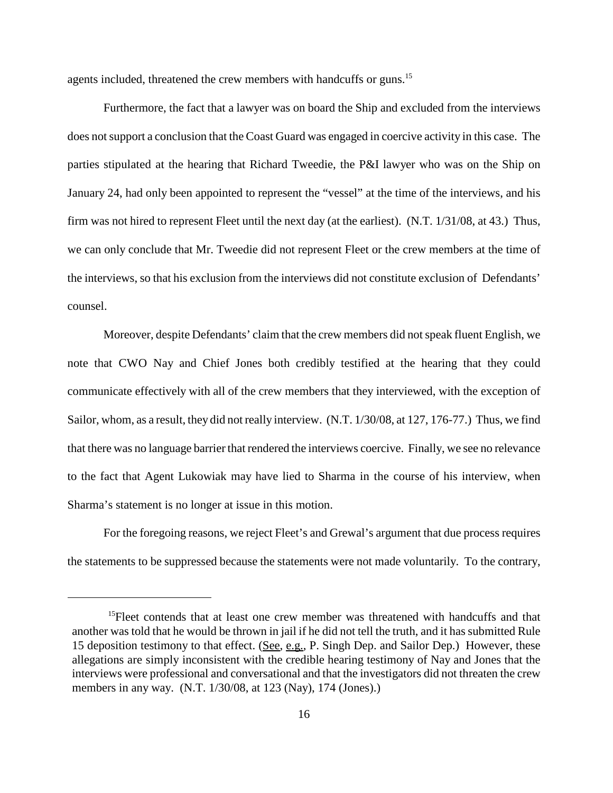agents included, threatened the crew members with handcuffs or guns.<sup>15</sup>

Furthermore, the fact that a lawyer was on board the Ship and excluded from the interviews does not support a conclusion that the Coast Guard was engaged in coercive activity in this case. The parties stipulated at the hearing that Richard Tweedie, the P&I lawyer who was on the Ship on January 24, had only been appointed to represent the "vessel" at the time of the interviews, and his firm was not hired to represent Fleet until the next day (at the earliest). (N.T. 1/31/08, at 43.) Thus, we can only conclude that Mr. Tweedie did not represent Fleet or the crew members at the time of the interviews, so that his exclusion from the interviews did not constitute exclusion of Defendants' counsel.

Moreover, despite Defendants' claim that the crew members did not speak fluent English, we note that CWO Nay and Chief Jones both credibly testified at the hearing that they could communicate effectively with all of the crew members that they interviewed, with the exception of Sailor, whom, as a result, they did not really interview. (N.T. 1/30/08, at 127, 176-77.) Thus, we find that there was no language barrier that rendered the interviews coercive. Finally, we see no relevance to the fact that Agent Lukowiak may have lied to Sharma in the course of his interview, when Sharma's statement is no longer at issue in this motion.

For the foregoing reasons, we reject Fleet's and Grewal's argument that due process requires the statements to be suppressed because the statements were not made voluntarily. To the contrary,

<sup>&</sup>lt;sup>15</sup>Fleet contends that at least one crew member was threatened with handcuffs and that another was told that he would be thrown in jail if he did not tell the truth, and it has submitted Rule 15 deposition testimony to that effect. (See, e.g., P. Singh Dep. and Sailor Dep.) However, these allegations are simply inconsistent with the credible hearing testimony of Nay and Jones that the interviews were professional and conversational and that the investigators did not threaten the crew members in any way. (N.T. 1/30/08, at 123 (Nay), 174 (Jones).)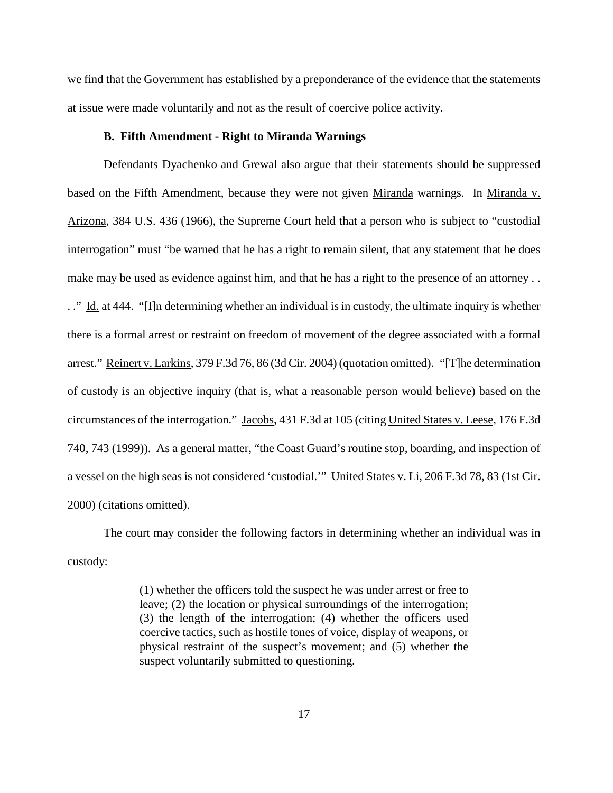we find that the Government has established by a preponderance of the evidence that the statements at issue were made voluntarily and not as the result of coercive police activity.

## **B. Fifth Amendment - Right to Miranda Warnings**

Defendants Dyachenko and Grewal also argue that their statements should be suppressed based on the Fifth Amendment, because they were not given Miranda warnings. In Miranda v. Arizona, 384 U.S. 436 (1966), the Supreme Court held that a person who is subject to "custodial interrogation" must "be warned that he has a right to remain silent, that any statement that he does make may be used as evidence against him, and that he has a right to the presence of an attorney . . .." Id. at 444. "[I]n determining whether an individual is in custody, the ultimate inquiry is whether there is a formal arrest or restraint on freedom of movement of the degree associated with a formal arrest." Reinert v. Larkins, 379 F.3d 76, 86 (3d Cir. 2004) (quotation omitted). "[T]he determination of custody is an objective inquiry (that is, what a reasonable person would believe) based on the circumstances of the interrogation." Jacobs, 431 F.3d at 105 (citing United States v. Leese, 176 F.3d 740, 743 (1999)). As a general matter, "the Coast Guard's routine stop, boarding, and inspection of a vessel on the high seas is not considered 'custodial.'" United States v. Li, 206 F.3d 78, 83 (1st Cir. 2000) (citations omitted).

The court may consider the following factors in determining whether an individual was in custody:

> (1) whether the officers told the suspect he was under arrest or free to leave; (2) the location or physical surroundings of the interrogation; (3) the length of the interrogation; (4) whether the officers used coercive tactics, such as hostile tones of voice, display of weapons, or physical restraint of the suspect's movement; and (5) whether the suspect voluntarily submitted to questioning.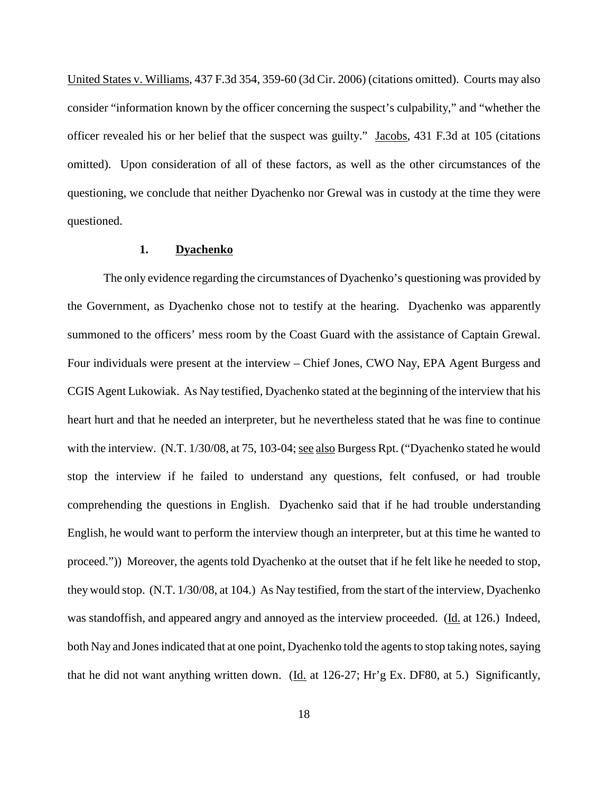United States v. Williams, 437 F.3d 354, 359-60 (3d Cir. 2006) (citations omitted). Courts may also consider "information known by the officer concerning the suspect's culpability," and "whether the officer revealed his or her belief that the suspect was guilty." Jacobs, 431 F.3d at 105 (citations omitted). Upon consideration of all of these factors, as well as the other circumstances of the questioning, we conclude that neither Dyachenko nor Grewal was in custody at the time they were questioned.

# **1. Dyachenko**

The only evidence regarding the circumstances of Dyachenko's questioning was provided by the Government, as Dyachenko chose not to testify at the hearing. Dyachenko was apparently summoned to the officers' mess room by the Coast Guard with the assistance of Captain Grewal. Four individuals were present at the interview – Chief Jones, CWO Nay, EPA Agent Burgess and CGIS Agent Lukowiak. As Nay testified, Dyachenko stated at the beginning of the interview that his heart hurt and that he needed an interpreter, but he nevertheless stated that he was fine to continue with the interview.  $(N.T. 1/30/08, at 75, 103-04; see also Burgess Rpt.$  ("Dyachenko stated he would stop the interview if he failed to understand any questions, felt confused, or had trouble comprehending the questions in English. Dyachenko said that if he had trouble understanding English, he would want to perform the interview though an interpreter, but at this time he wanted to proceed.")) Moreover, the agents told Dyachenko at the outset that if he felt like he needed to stop, they would stop. (N.T. 1/30/08, at 104.) As Nay testified, from the start of the interview, Dyachenko was standoffish, and appeared angry and annoyed as the interview proceeded. (Id. at 126.) Indeed, both Nay and Jones indicated that at one point, Dyachenko told the agents to stop taking notes, saying that he did not want anything written down. (Id. at  $126-27$ ; Hr'g Ex. DF80, at 5.) Significantly,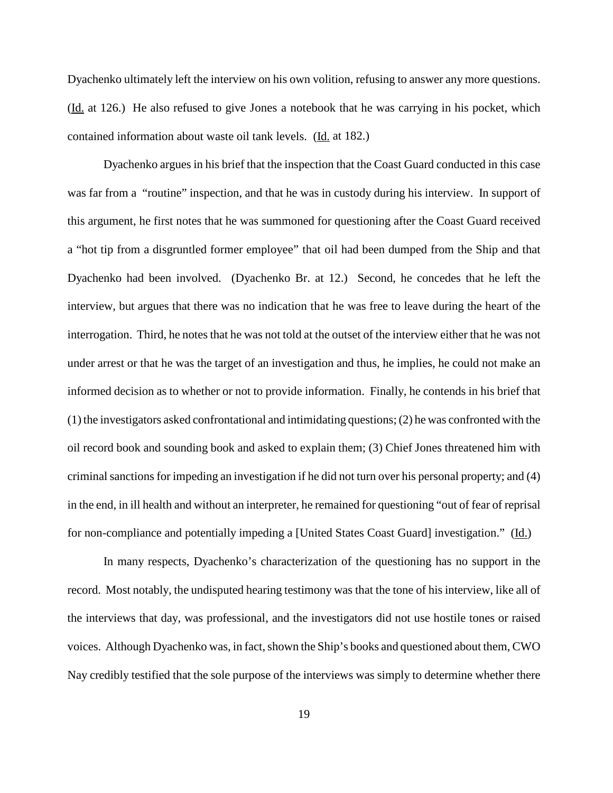Dyachenko ultimately left the interview on his own volition, refusing to answer any more questions. (Id. at 126.) He also refused to give Jones a notebook that he was carrying in his pocket, which contained information about waste oil tank levels. (Id. at 182.)

Dyachenko argues in his brief that the inspection that the Coast Guard conducted in this case was far from a "routine" inspection, and that he was in custody during his interview. In support of this argument, he first notes that he was summoned for questioning after the Coast Guard received a "hot tip from a disgruntled former employee" that oil had been dumped from the Ship and that Dyachenko had been involved. (Dyachenko Br. at 12.) Second, he concedes that he left the interview, but argues that there was no indication that he was free to leave during the heart of the interrogation. Third, he notes that he was not told at the outset of the interview either that he was not under arrest or that he was the target of an investigation and thus, he implies, he could not make an informed decision as to whether or not to provide information. Finally, he contends in his brief that (1) the investigators asked confrontational and intimidating questions;(2) he was confronted with the oil record book and sounding book and asked to explain them; (3) Chief Jones threatened him with criminal sanctions for impeding an investigation if he did not turn over his personal property; and (4) in the end, in ill health and without an interpreter, he remained for questioning "out of fear of reprisal for non-compliance and potentially impeding a [United States Coast Guard] investigation." (Id.)

In many respects, Dyachenko's characterization of the questioning has no support in the record. Most notably, the undisputed hearing testimony was that the tone of his interview, like all of the interviews that day, was professional, and the investigators did not use hostile tones or raised voices. Although Dyachenko was, in fact, shown the Ship's books and questioned about them, CWO Nay credibly testified that the sole purpose of the interviews was simply to determine whether there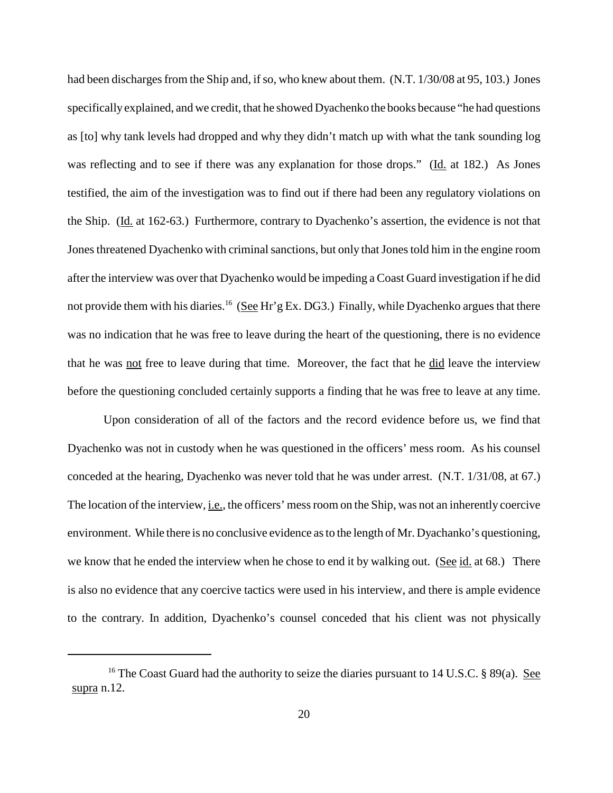had been discharges from the Ship and, if so, who knew about them. (N.T. 1/30/08 at 95, 103.) Jones specifically explained, and we credit, that he showed Dyachenko the books because "he had questions as [to] why tank levels had dropped and why they didn't match up with what the tank sounding log was reflecting and to see if there was any explanation for those drops." (Id. at 182.) As Jones testified, the aim of the investigation was to find out if there had been any regulatory violations on the Ship. (Id. at 162-63.) Furthermore, contrary to Dyachenko's assertion, the evidence is not that Jones threatened Dyachenko with criminal sanctions, but only that Jones told him in the engine room after the interview was over that Dyachenko would be impeding a Coast Guard investigation if he did not provide them with his diaries.<sup>16</sup> (See Hr'g Ex. DG3.) Finally, while Dyachenko argues that there was no indication that he was free to leave during the heart of the questioning, there is no evidence that he was not free to leave during that time. Moreover, the fact that he did leave the interview before the questioning concluded certainly supports a finding that he was free to leave at any time.

Upon consideration of all of the factors and the record evidence before us, we find that Dyachenko was not in custody when he was questioned in the officers' mess room. As his counsel conceded at the hearing, Dyachenko was never told that he was under arrest. (N.T. 1/31/08, at 67.) The location of the interview, i.e., the officers' messroom on the Ship, was not an inherently coercive environment. While there is no conclusive evidence asto the length of Mr. Dyachanko's questioning, we know that he ended the interview when he chose to end it by walking out. (See id. at 68.) There is also no evidence that any coercive tactics were used in his interview, and there is ample evidence to the contrary. In addition, Dyachenko's counsel conceded that his client was not physically

<sup>&</sup>lt;sup>16</sup> The Coast Guard had the authority to seize the diaries pursuant to 14 U.S.C. § 89(a). <u>See</u> supra n.12.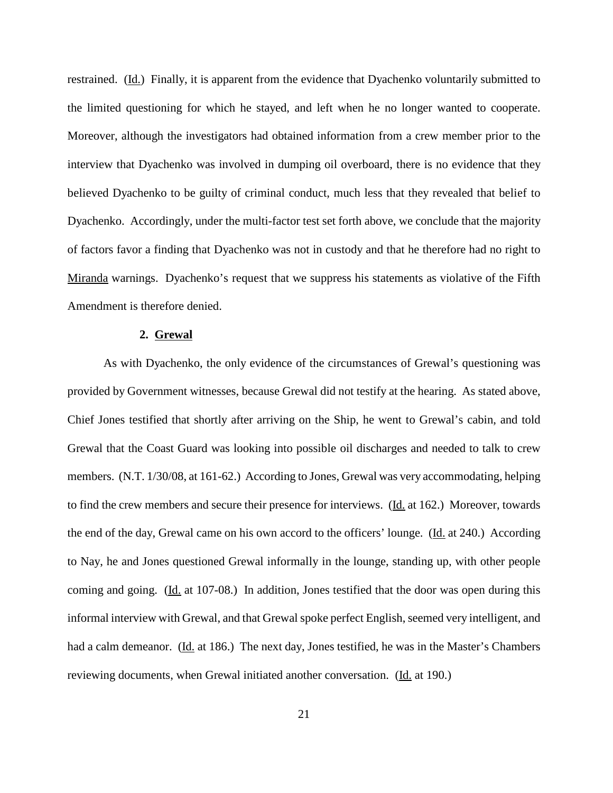restrained. (Id.) Finally, it is apparent from the evidence that Dyachenko voluntarily submitted to the limited questioning for which he stayed, and left when he no longer wanted to cooperate. Moreover, although the investigators had obtained information from a crew member prior to the interview that Dyachenko was involved in dumping oil overboard, there is no evidence that they believed Dyachenko to be guilty of criminal conduct, much less that they revealed that belief to Dyachenko. Accordingly, under the multi-factor test set forth above, we conclude that the majority of factors favor a finding that Dyachenko was not in custody and that he therefore had no right to Miranda warnings. Dyachenko's request that we suppress his statements as violative of the Fifth Amendment is therefore denied.

#### **2. Grewal**

As with Dyachenko, the only evidence of the circumstances of Grewal's questioning was provided by Government witnesses, because Grewal did not testify at the hearing. As stated above, Chief Jones testified that shortly after arriving on the Ship, he went to Grewal's cabin, and told Grewal that the Coast Guard was looking into possible oil discharges and needed to talk to crew members. (N.T. 1/30/08, at 161-62.) According to Jones, Grewal was very accommodating, helping to find the crew members and secure their presence for interviews. (Id. at 162.) Moreover, towards the end of the day, Grewal came on his own accord to the officers' lounge. (Id. at 240.) According to Nay, he and Jones questioned Grewal informally in the lounge, standing up, with other people coming and going. (Id. at 107-08.) In addition, Jones testified that the door was open during this informal interview with Grewal, and that Grewal spoke perfect English, seemed very intelligent, and had a calm demeanor. (Id. at 186.) The next day, Jones testified, he was in the Master's Chambers reviewing documents, when Grewal initiated another conversation. (Id. at 190.)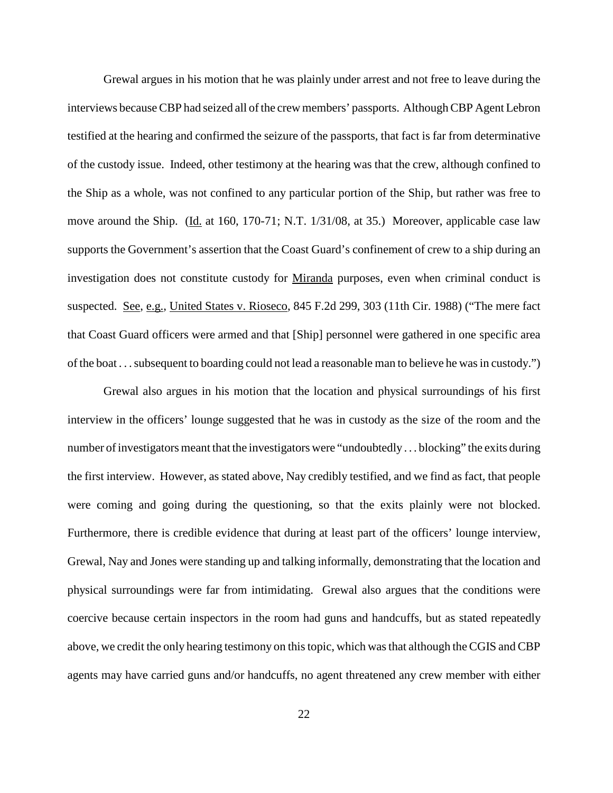Grewal argues in his motion that he was plainly under arrest and not free to leave during the interviews because CBP had seized all of the crew members' passports. Although CBP Agent Lebron testified at the hearing and confirmed the seizure of the passports, that fact is far from determinative of the custody issue. Indeed, other testimony at the hearing was that the crew, although confined to the Ship as a whole, was not confined to any particular portion of the Ship, but rather was free to move around the Ship. (Id. at 160, 170-71; N.T. 1/31/08, at 35.) Moreover, applicable case law supports the Government's assertion that the Coast Guard's confinement of crew to a ship during an investigation does not constitute custody for Miranda purposes, even when criminal conduct is suspected. See, e.g., United States v. Rioseco, 845 F.2d 299, 303 (11th Cir. 1988) ("The mere fact that Coast Guard officers were armed and that [Ship] personnel were gathered in one specific area of the boat . . . subsequent to boarding could not lead a reasonable man to believe he was in custody.")

Grewal also argues in his motion that the location and physical surroundings of his first interview in the officers' lounge suggested that he was in custody as the size of the room and the number ofinvestigators meant that the investigators were "undoubtedly . . . blocking" the exits during the first interview. However, as stated above, Nay credibly testified, and we find as fact, that people were coming and going during the questioning, so that the exits plainly were not blocked. Furthermore, there is credible evidence that during at least part of the officers' lounge interview, Grewal, Nay and Jones were standing up and talking informally, demonstrating that the location and physical surroundings were far from intimidating. Grewal also argues that the conditions were coercive because certain inspectors in the room had guns and handcuffs, but as stated repeatedly above, we credit the only hearing testimony on this topic, which was that although the CGIS and CBP agents may have carried guns and/or handcuffs, no agent threatened any crew member with either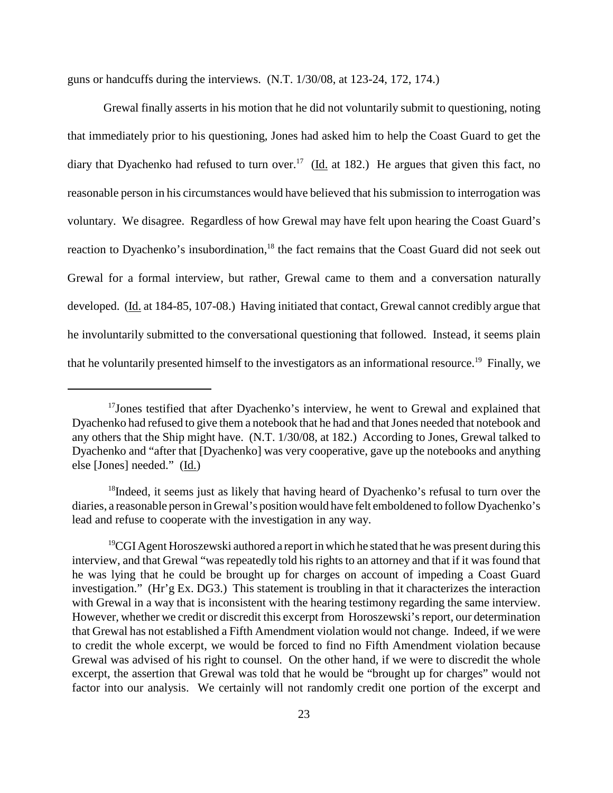guns or handcuffs during the interviews. (N.T. 1/30/08, at 123-24, 172, 174.)

Grewal finally asserts in his motion that he did not voluntarily submit to questioning, noting that immediately prior to his questioning, Jones had asked him to help the Coast Guard to get the diary that Dyachenko had refused to turn over.<sup>17</sup> ( $\underline{Id}$ , at 182.) He argues that given this fact, no reasonable person in his circumstances would have believed that his submission to interrogation was voluntary. We disagree. Regardless of how Grewal may have felt upon hearing the Coast Guard's reaction to Dyachenko's insubordination,<sup>18</sup> the fact remains that the Coast Guard did not seek out Grewal for a formal interview, but rather, Grewal came to them and a conversation naturally developed. (Id. at 184-85, 107-08.) Having initiated that contact, Grewal cannot credibly argue that he involuntarily submitted to the conversational questioning that followed. Instead, it seems plain that he voluntarily presented himself to the investigators as an informational resource.<sup>19</sup> Finally, we

<sup>&</sup>lt;sup>17</sup>Jones testified that after Dyachenko's interview, he went to Grewal and explained that Dyachenko had refused to give them a notebook that he had and that Jones needed that notebook and any others that the Ship might have. (N.T. 1/30/08, at 182.) According to Jones, Grewal talked to Dyachenko and "after that [Dyachenko] was very cooperative, gave up the notebooks and anything else [Jones] needed." (Id.)

<sup>&</sup>lt;sup>18</sup>Indeed, it seems just as likely that having heard of Dyachenko's refusal to turn over the diaries, a reasonable person in Grewal's positionwould have felt emboldened to follow Dyachenko's lead and refuse to cooperate with the investigation in any way.

 $19$ CGI Agent Horoszewski authored a report in which he stated that he was present during this interview, and that Grewal "was repeatedly told his rights to an attorney and that if it was found that he was lying that he could be brought up for charges on account of impeding a Coast Guard investigation." (Hr'g Ex. DG3.) This statement is troubling in that it characterizes the interaction with Grewal in a way that is inconsistent with the hearing testimony regarding the same interview. However, whether we credit or discredit this excerpt from Horoszewski's report, our determination that Grewal has not established a Fifth Amendment violation would not change. Indeed, if we were to credit the whole excerpt, we would be forced to find no Fifth Amendment violation because Grewal was advised of his right to counsel. On the other hand, if we were to discredit the whole excerpt, the assertion that Grewal was told that he would be "brought up for charges" would not factor into our analysis. We certainly will not randomly credit one portion of the excerpt and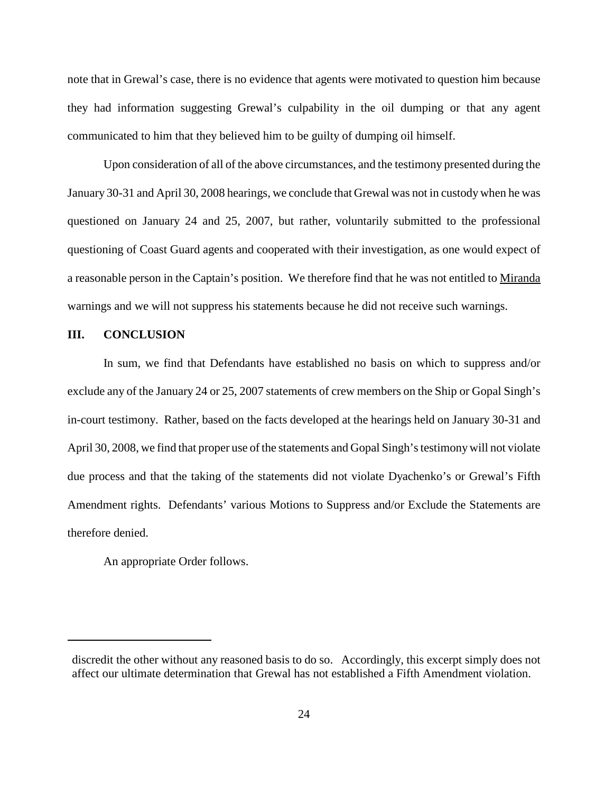note that in Grewal's case, there is no evidence that agents were motivated to question him because they had information suggesting Grewal's culpability in the oil dumping or that any agent communicated to him that they believed him to be guilty of dumping oil himself.

Upon consideration of all of the above circumstances, and the testimony presented during the January 30-31 and April 30, 2008 hearings, we conclude that Grewal was not in custody when he was questioned on January 24 and 25, 2007, but rather, voluntarily submitted to the professional questioning of Coast Guard agents and cooperated with their investigation, as one would expect of a reasonable person in the Captain's position. We therefore find that he was not entitled to Miranda warnings and we will not suppress his statements because he did not receive such warnings.

## **III. CONCLUSION**

In sum, we find that Defendants have established no basis on which to suppress and/or exclude any of the January 24 or 25, 2007 statements of crew members on the Ship or Gopal Singh's in-court testimony. Rather, based on the facts developed at the hearings held on January 30-31 and April 30, 2008, we find that proper use of the statements and Gopal Singh's testimony will not violate due process and that the taking of the statements did not violate Dyachenko's or Grewal's Fifth Amendment rights. Defendants' various Motions to Suppress and/or Exclude the Statements are therefore denied.

An appropriate Order follows.

discredit the other without any reasoned basis to do so. Accordingly, this excerpt simply does not affect our ultimate determination that Grewal has not established a Fifth Amendment violation.